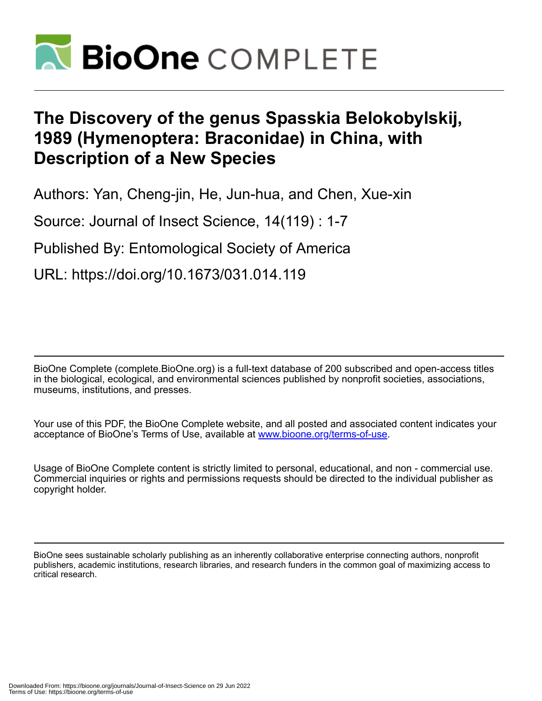

# **The Discovery of the genus Spasskia Belokobylskij, 1989 (Hymenoptera: Braconidae) in China, with Description of a New Species**

Authors: Yan, Cheng-jin, He, Jun-hua, and Chen, Xue-xin

Source: Journal of Insect Science, 14(119) : 1-7

Published By: Entomological Society of America

URL: https://doi.org/10.1673/031.014.119

BioOne Complete (complete.BioOne.org) is a full-text database of 200 subscribed and open-access titles in the biological, ecological, and environmental sciences published by nonprofit societies, associations, museums, institutions, and presses.

Your use of this PDF, the BioOne Complete website, and all posted and associated content indicates your acceptance of BioOne's Terms of Use, available at www.bioone.org/terms-of-use.

Usage of BioOne Complete content is strictly limited to personal, educational, and non - commercial use. Commercial inquiries or rights and permissions requests should be directed to the individual publisher as copyright holder.

BioOne sees sustainable scholarly publishing as an inherently collaborative enterprise connecting authors, nonprofit publishers, academic institutions, research libraries, and research funders in the common goal of maximizing access to critical research.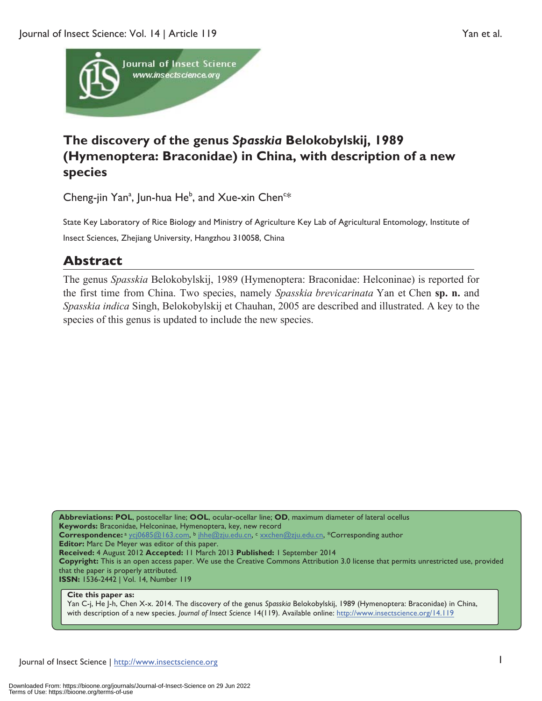

## **The discovery of the genus** *Spasskia* **Belokobylskij, 1989 (Hymenoptera: Braconidae) in China, with description of a new species**

Cheng-jin Yan<sup>a</sup>, Jun-hua He<sup>b</sup>, and Xue-xin Chen<sup>c\*</sup>

State Key Laboratory of Rice Biology and Ministry of Agriculture Key Lab of Agricultural Entomology, Institute of Insect Sciences, Zhejiang University, Hangzhou 310058, China

### **Abstract**

The genus *Spasskia* Belokobylskij, 1989 (Hymenoptera: Braconidae: Helconinae) is reported for the first time from China. Two species, namely *Spasskia brevicarinata* Yan et Chen **sp. n.** and *Spasskia indica* Singh, Belokobylskij et Chauhan, 2005 are described and illustrated. A key to the species of this genus is updated to include the new species.

**Abbreviations: POL**, postocellar line; **OOL**, ocular-ocellar line; **OD**, maximum diameter of lateral ocellus **Keywords:** Braconidae, Helconinae, Hymenoptera, key, new record **Correspondence:**<sup>a</sup> ycj0685@163.com, b jhhe@zju.edu.cn, c xxchen@zju.edu.cn, \*Corresponding author **Editor:** Marc De Meyer was editor of this paper. **Received:** 4 August 2012 **Accepted:** 11 March 2013 **Published:** 1 September 2014 **Copyright:** This is an open access paper. We use the Creative Commons Attribution 3.0 license that permits unrestricted use, provided that the paper is properly attributed. **ISSN:** 1536-2442 | Vol. 14, Number 119

#### **Cite this paper as:**

Yan C-j, He J-h, Chen X-x. 2014. The discovery of the genus *Spasskia* Belokobylskij, 1989 (Hymenoptera: Braconidae) in China, with description of a new species. *Journal of Insect Science* 14(119). Available online: http://www.insectscience.org/14.119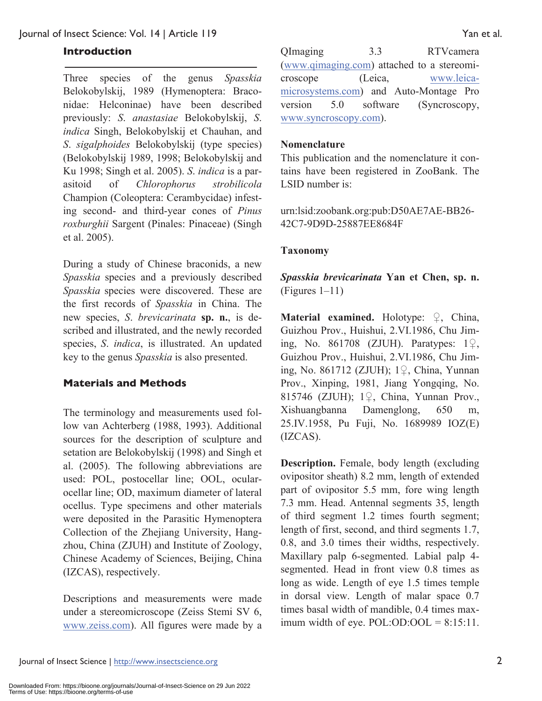#### **Introduction**

Three species of the genus *Spasskia* Belokobylskij, 1989 (Hymenoptera: Braconidae: Helconinae) have been described previously: *S*. *anastasiae* Belokobylskij, *S*. *indica* Singh, Belokobylskij et Chauhan, and *S*. *sigalphoides* Belokobylskij (type species) (Belokobylskij 1989, 1998; Belokobylskij and Ku 1998; Singh et al. 2005). *S*. *indica* is a parasitoid of *Chlorophorus strobilicola* Champion (Coleoptera: Cerambycidae) infesting second- and third-year cones of *Pinus roxburghii* Sargent (Pinales: Pinaceae) (Singh et al. 2005).

During a study of Chinese braconids, a new *Spasskia* species and a previously described *Spasskia* species were discovered. These are the first records of *Spasskia* in China. The new species, *S*. *brevicarinata* **sp. n.**, is described and illustrated, and the newly recorded species, *S*. *indica*, is illustrated. An updated key to the genus *Spasskia* is also presented.

#### **Materials and Methods**

The terminology and measurements used follow van Achterberg (1988, 1993). Additional sources for the description of sculpture and setation are Belokobylskij (1998) and Singh et al. (2005). The following abbreviations are used: POL, postocellar line; OOL, ocularocellar line; OD, maximum diameter of lateral ocellus. Type specimens and other materials were deposited in the Parasitic Hymenoptera Collection of the Zhejiang University, Hangzhou, China (ZJUH) and Institute of Zoology, Chinese Academy of Sciences, Beijing, China (IZCAS), respectively.

Descriptions and measurements were made under a stereomicroscope (Zeiss Stemi SV 6, www.zeiss.com). All figures were made by a

QImaging 3.3 RTVcamera (www.qimaging.com) attached to a stereomicroscope (Leica, www.leicamicrosystems.com) and Auto-Montage Pro version 5.0 software (Syncroscopy, www.syncroscopy.com).

#### **Nomenclature**

This publication and the nomenclature it contains have been registered in ZooBank. The LSID number is:

urn:lsid:zoobank.org:pub:D50AE7AE-BB26- 42C7-9D9D-25887EE8684F

#### **Taxonomy**

#### *Spasskia brevicarinata* **Yan et Chen, sp. n.** (Figures 1–11)

**Material examined.** Holotype: ♀, China, Guizhou Prov., Huishui, 2.VI.1986, Chu Jiming, No. 861708 (ZJUH). Paratypes: 1♀, Guizhou Prov., Huishui, 2.VI.1986, Chu Jiming, No. 861712 (ZJUH); 1♀, China, Yunnan Prov., Xinping, 1981, Jiang Yongqing, No. 815746 (ZJUH); 1♀, China, Yunnan Prov., Xishuangbanna Damenglong, 650 m, 25.IV.1958, Pu Fuji, No. 1689989 IOZ(E) (IZCAS).

**Description.** Female, body length (excluding ovipositor sheath) 8.2 mm, length of extended part of ovipositor 5.5 mm, fore wing length 7.3 mm. Head. Antennal segments 35, length of third segment 1.2 times fourth segment; length of first, second, and third segments 1.7, 0.8, and 3.0 times their widths, respectively. Maxillary palp 6-segmented. Labial palp 4 segmented. Head in front view 0.8 times as long as wide. Length of eye 1.5 times temple in dorsal view. Length of malar space 0.7 times basal width of mandible, 0.4 times maximum width of eye.  $POL:OD: OOL = 8:15:11$ .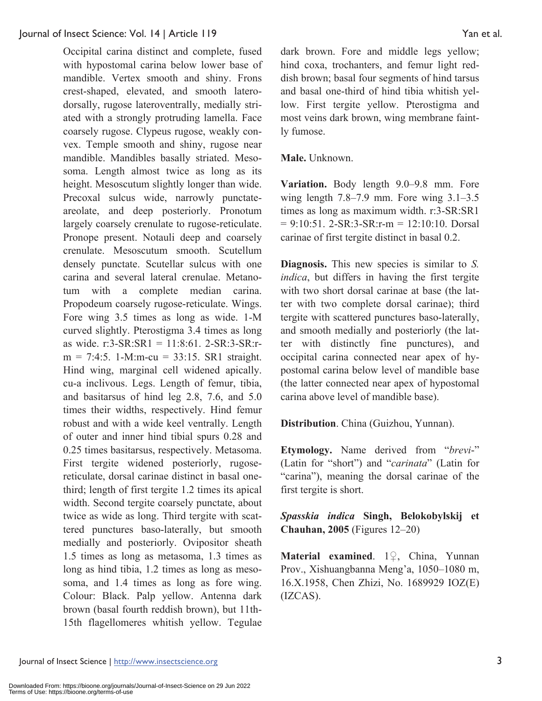#### Journal of Insect Science: Vol. 14 | Article 119 Yan et al.

Occipital carina distinct and complete, fused with hypostomal carina below lower base of mandible. Vertex smooth and shiny. Frons crest-shaped, elevated, and smooth laterodorsally, rugose lateroventrally, medially striated with a strongly protruding lamella. Face coarsely rugose. Clypeus rugose, weakly convex. Temple smooth and shiny, rugose near mandible. Mandibles basally striated. Mesosoma. Length almost twice as long as its height. Mesoscutum slightly longer than wide. Precoxal sulcus wide, narrowly punctateareolate, and deep posteriorly. Pronotum largely coarsely crenulate to rugose-reticulate. Pronope present. Notauli deep and coarsely crenulate. Mesoscutum smooth. Scutellum densely punctate. Scutellar sulcus with one carina and several lateral crenulae. Metanotum with a complete median carina. Propodeum coarsely rugose-reticulate. Wings. Fore wing 3.5 times as long as wide. 1-M curved slightly. Pterostigma 3.4 times as long as wide. r:3-SR:SR1 = 11:8:61. 2-SR:3-SR:r $m = 7:4:5$ . 1-M:m-cu = 33:15. SR1 straight. Hind wing, marginal cell widened apically. cu-a inclivous. Legs. Length of femur, tibia, and basitarsus of hind leg 2.8, 7.6, and 5.0 times their widths, respectively. Hind femur robust and with a wide keel ventrally. Length of outer and inner hind tibial spurs 0.28 and 0.25 times basitarsus, respectively. Metasoma. First tergite widened posteriorly, rugosereticulate, dorsal carinae distinct in basal onethird; length of first tergite 1.2 times its apical width. Second tergite coarsely punctate, about twice as wide as long. Third tergite with scattered punctures baso-laterally, but smooth medially and posteriorly. Ovipositor sheath 1.5 times as long as metasoma, 1.3 times as long as hind tibia, 1.2 times as long as mesosoma, and 1.4 times as long as fore wing. Colour: Black. Palp yellow. Antenna dark brown (basal fourth reddish brown), but 11th-15th flagellomeres whitish yellow. Tegulae

dark brown. Fore and middle legs yellow; hind coxa, trochanters, and femur light reddish brown; basal four segments of hind tarsus and basal one-third of hind tibia whitish yellow. First tergite yellow. Pterostigma and most veins dark brown, wing membrane faintly fumose.

#### **Male.** Unknown.

**Variation.** Body length 9.0–9.8 mm. Fore wing length 7.8–7.9 mm. Fore wing 3.1–3.5 times as long as maximum width. r:3-SR:SR1  $= 9:10:51$ . 2-SR:3-SR:r-m = 12:10:10. Dorsal carinae of first tergite distinct in basal 0.2.

**Diagnosis.** This new species is similar to *S. indica*, but differs in having the first tergite with two short dorsal carinae at base (the latter with two complete dorsal carinae); third tergite with scattered punctures baso-laterally, and smooth medially and posteriorly (the latter with distinctly fine punctures), and occipital carina connected near apex of hypostomal carina below level of mandible base (the latter connected near apex of hypostomal carina above level of mandible base).

**Distribution**. China (Guizhou, Yunnan).

**Etymology.** Name derived from "*brevi*-" (Latin for "short") and "*carinata*" (Latin for "carina"), meaning the dorsal carinae of the first tergite is short.

*Spasskia indica* **Singh, Belokobylskij et Chauhan, 2005** (Figures 12–20)

**Material examined**. 1♀, China, Yunnan Prov., Xishuangbanna Meng'a, 1050–1080 m, 16.X.1958, Chen Zhizi, No. 1689929 IOZ(E) (IZCAS).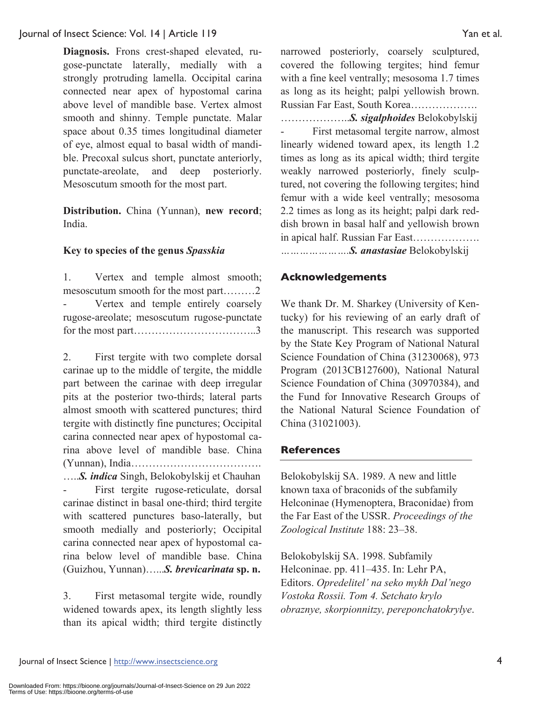Journal of Insect Science: Vol. 14 | Article 119 Yan et al.

**Diagnosis.** Frons crest-shaped elevated, rugose-punctate laterally, medially with a strongly protruding lamella. Occipital carina connected near apex of hypostomal carina above level of mandible base. Vertex almost smooth and shinny. Temple punctate. Malar space about 0.35 times longitudinal diameter of eye, almost equal to basal width of mandible. Precoxal sulcus short, punctate anteriorly, punctate-areolate, and deep posteriorly. Mesoscutum smooth for the most part.

**Distribution.** China (Yunnan), **new record**; India.

#### **Key to species of the genus** *Spasskia*

1. Vertex and temple almost smooth; mesoscutum smooth for the most part………2 Vertex and temple entirely coarsely rugose-areolate; mesoscutum rugose-punctate for the most part……………………………..3

2. First tergite with two complete dorsal carinae up to the middle of tergite, the middle part between the carinae with deep irregular pits at the posterior two-thirds; lateral parts almost smooth with scattered punctures; third tergite with distinctly fine punctures; Occipital carina connected near apex of hypostomal carina above level of mandible base. China (Yunnan), India………………………………. …..*S. indica* Singh, Belokobylskij et Chauhan

First tergite rugose-reticulate, dorsal carinae distinct in basal one-third; third tergite with scattered punctures baso-laterally, but smooth medially and posteriorly; Occipital carina connected near apex of hypostomal carina below level of mandible base. China (Guizhou, Yunnan)…...*S. brevicarinata* **sp. n.**

3. First metasomal tergite wide, roundly widened towards apex, its length slightly less than its apical width; third tergite distinctly

narrowed posteriorly, coarsely sculptured, covered the following tergites; hind femur with a fine keel ventrally; mesosoma 1.7 times as long as its height; palpi yellowish brown. Russian Far East, South Korea……………….

………………..*S. sigalphoides* Belokobylskij First metasomal tergite narrow, almost linearly widened toward apex, its length 1.2 times as long as its apical width; third tergite weakly narrowed posteriorly, finely sculptured, not covering the following tergites; hind femur with a wide keel ventrally; mesosoma 2.2 times as long as its height; palpi dark reddish brown in basal half and yellowish brown in apical half. Russian Far East………………. *………………….S. anastasiae* Belokobylskij

#### **Acknowledgements**

We thank Dr. M. Sharkey (University of Kentucky) for his reviewing of an early draft of the manuscript. This research was supported by the State Key Program of National Natural Science Foundation of China (31230068), 973 Program (2013CB127600), National Natural Science Foundation of China (30970384), and the Fund for Innovative Research Groups of the National Natural Science Foundation of China (31021003).

#### **References**

Belokobylskij SA. 1989. A new and little known taxa of braconids of the subfamily Helconinae (Hymenoptera, Braconidae) from the Far East of the USSR. *Proceedings of the Zoological Institute* 188: 23–38.

Belokobylskij SA. 1998. Subfamily Helconinae. pp. 411–435. In: Lehr PA, Editors. *Opredelitel' na seko mykh Dal'nego Vostoka Rossii. Tom 4. Setchato krylo obraznye, skorpionnitzy, pereponchatokrylye*.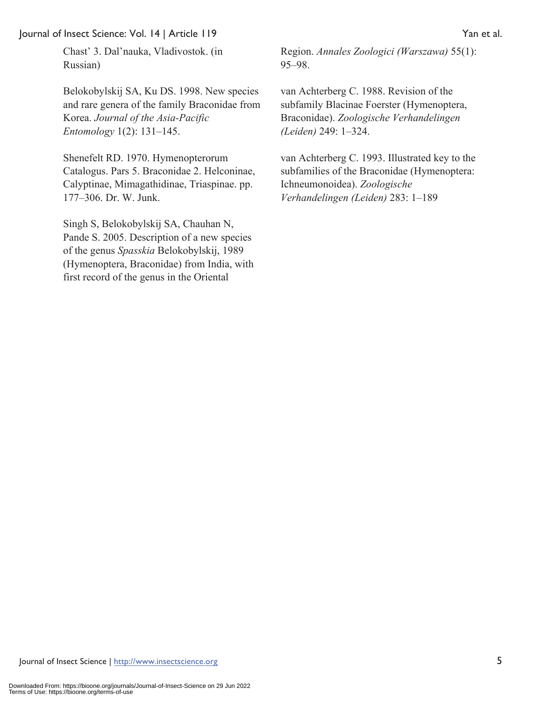#### Journal of Insect Science: Vol. 14 | Article 119 Yan et al.

Belokobylskij SA, Ku DS. 1998. New species and rare genera of the family Braconidae from Korea. *Journal of the Asia-Pacific Entomology* 1(2): 131–145.

Shenefelt RD. 1970. Hymenopterorum Catalogus. Pars 5. Braconidae 2. Helconinae, Calyptinae, Mimagathidinae, Triaspinae. pp. 177–306. Dr. W. Junk.

Singh S, Belokobylskij SA, Chauhan N, Pande S. 2005. Description of a new species of the genus *Spasskia* Belokobylskij, 1989 (Hymenoptera, Braconidae) from India, with first record of the genus in the Oriental

Region. *Annales Zoologici (Warszawa)* 55(1): 95–98.

van Achterberg C. 1988. Revision of the subfamily Blacinae Foerster (Hymenoptera, Braconidae). *Zoologische Verhandelingen (Leiden)* 249: 1–324.

van Achterberg C. 1993. Illustrated key to the subfamilies of the Braconidae (Hymenoptera: Ichneumonoidea). *Zoologische Verhandelingen (Leiden)* 283: 1–189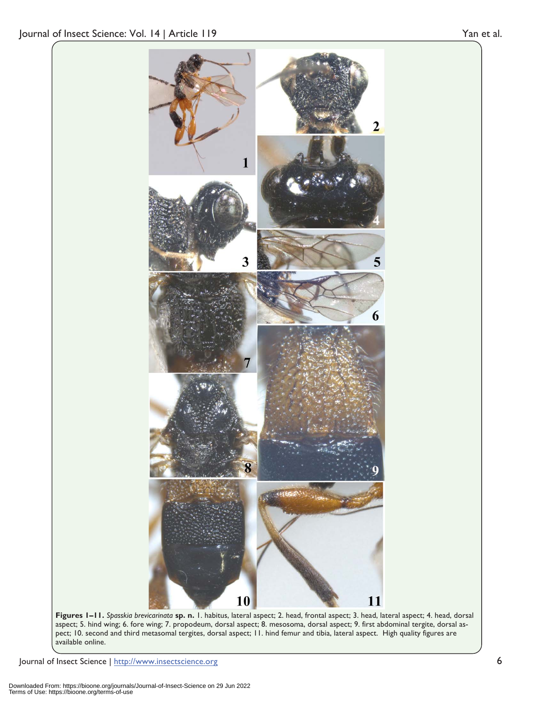

**Figures 1–11.** *Spasskia brevicarinata* **sp. n.** 1. habitus, lateral aspect; 2. head, frontal aspect; 3. head, lateral aspect; 4. head, dorsal aspect; 5. hind wing; 6. fore wing; 7. propodeum, dorsal aspect; 8. mesosoma, dorsal aspect; 9. first abdominal tergite, dorsal aspect; 10. second and third metasomal tergites, dorsal aspect; 11. hind femur and tibia, lateral aspect. High quality figures are available online.

Journal of Insect Science | http://www.insectscience.org 6